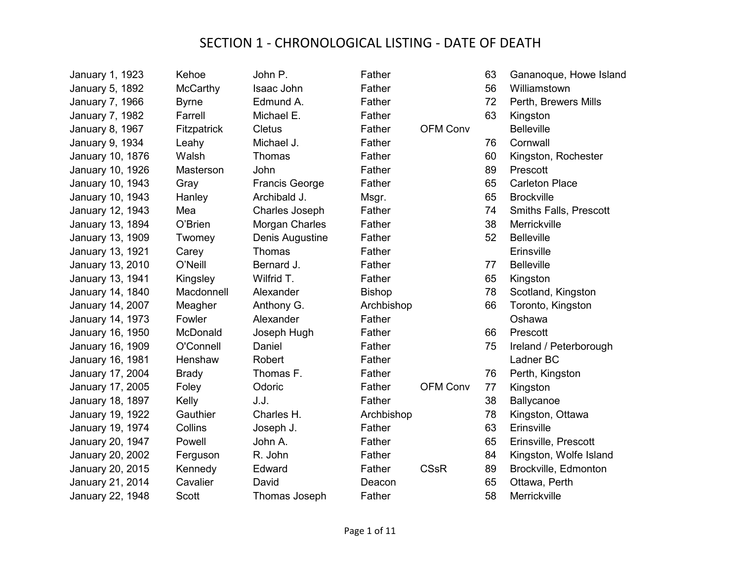| January 1, 1923        | Kehoe        | John P.               | Father        |                 | 63 | Gananoque, Howe Island        |
|------------------------|--------------|-----------------------|---------------|-----------------|----|-------------------------------|
| <b>January 5, 1892</b> | McCarthy     | Isaac John            | Father        |                 | 56 | Williamstown                  |
| January 7, 1966        | <b>Byrne</b> | Edmund A.             | Father        |                 | 72 | Perth, Brewers Mills          |
| January 7, 1982        | Farrell      | Michael E.            | Father        |                 | 63 | Kingston                      |
| January 8, 1967        | Fitzpatrick  | <b>Cletus</b>         | Father        | <b>OFM Conv</b> |    | <b>Belleville</b>             |
| January 9, 1934        | Leahy        | Michael J.            | Father        |                 | 76 | Cornwall                      |
| January 10, 1876       | Walsh        | Thomas                | Father        |                 | 60 | Kingston, Rochester           |
| January 10, 1926       | Masterson    | John                  | Father        |                 | 89 | Prescott                      |
| January 10, 1943       | Gray         | <b>Francis George</b> | Father        |                 | 65 | <b>Carleton Place</b>         |
| January 10, 1943       | Hanley       | Archibald J.          | Msgr.         |                 | 65 | <b>Brockville</b>             |
| January 12, 1943       | Mea          | <b>Charles Joseph</b> | Father        |                 | 74 | <b>Smiths Falls, Prescott</b> |
| January 13, 1894       | O'Brien      | Morgan Charles        | Father        |                 | 38 | Merrickville                  |
| January 13, 1909       | Twomey       | Denis Augustine       | Father        |                 | 52 | <b>Belleville</b>             |
| January 13, 1921       | Carey        | Thomas                | Father        |                 |    | Erinsville                    |
| January 13, 2010       | O'Neill      | Bernard J.            | Father        |                 | 77 | <b>Belleville</b>             |
| January 13, 1941       | Kingsley     | Wilfrid T.            | Father        |                 | 65 | Kingston                      |
| January 14, 1840       | Macdonnell   | Alexander             | <b>Bishop</b> |                 | 78 | Scotland, Kingston            |
| January 14, 2007       | Meagher      | Anthony G.            | Archbishop    |                 | 66 | Toronto, Kingston             |
| January 14, 1973       | Fowler       | Alexander             | Father        |                 |    | Oshawa                        |
| January 16, 1950       | McDonald     | Joseph Hugh           | Father        |                 | 66 | Prescott                      |
| January 16, 1909       | O'Connell    | Daniel                | Father        |                 | 75 | Ireland / Peterborough        |
| January 16, 1981       | Henshaw      | Robert                | Father        |                 |    | Ladner BC                     |
| January 17, 2004       | <b>Brady</b> | Thomas F.             | Father        |                 | 76 | Perth, Kingston               |
| January 17, 2005       | Foley        | Odoric                | Father        | <b>OFM Conv</b> | 77 | Kingston                      |
| January 18, 1897       | Kelly        | J.J.                  | Father        |                 | 38 | Ballycanoe                    |
| January 19, 1922       | Gauthier     | Charles H.            | Archbishop    |                 | 78 | Kingston, Ottawa              |
| January 19, 1974       | Collins      | Joseph J.             | Father        |                 | 63 | Erinsville                    |
| January 20, 1947       | Powell       | John A.               | Father        |                 | 65 | Erinsville, Prescott          |
| January 20, 2002       | Ferguson     | R. John               | Father        |                 | 84 | Kingston, Wolfe Island        |
| January 20, 2015       | Kennedy      | Edward                | Father        | <b>CSsR</b>     | 89 | Brockville, Edmonton          |
| January 21, 2014       | Cavalier     | David                 | Deacon        |                 | 65 | Ottawa, Perth                 |
| January 22, 1948       | <b>Scott</b> | Thomas Joseph         | Father        |                 | 58 | Merrickville                  |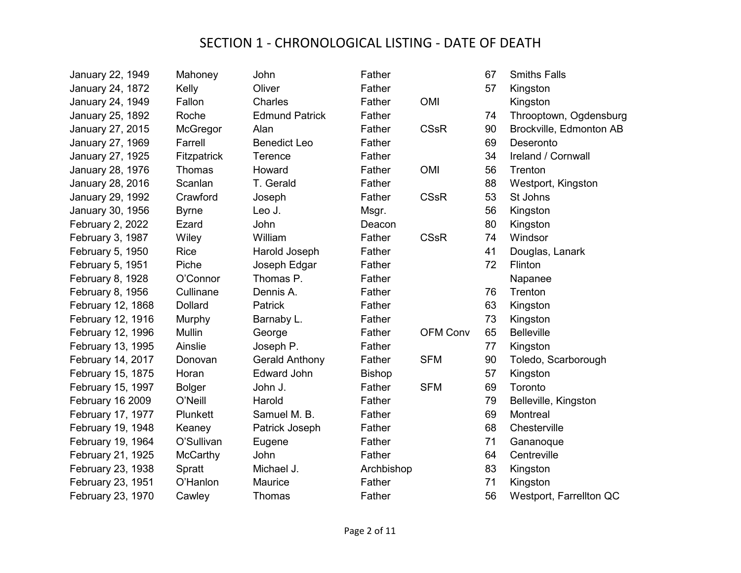| January 22, 1949        | Mahoney         | John                  | Father        |                 | 67 | <b>Smiths Falls</b>     |
|-------------------------|-----------------|-----------------------|---------------|-----------------|----|-------------------------|
| <b>January 24, 1872</b> | Kelly           | Oliver                | Father        |                 | 57 | Kingston                |
| January 24, 1949        | Fallon          | Charles               | Father        | <b>OMI</b>      |    | Kingston                |
| January 25, 1892        | Roche           | <b>Edmund Patrick</b> | Father        |                 | 74 | Throoptown, Ogdensburg  |
| January 27, 2015        | McGregor        | Alan                  | Father        | <b>CSsR</b>     | 90 | Brockville, Edmonton AB |
| January 27, 1969        | Farrell         | <b>Benedict Leo</b>   | Father        |                 | 69 | Deseronto               |
| January 27, 1925        | Fitzpatrick     | <b>Terence</b>        | Father        |                 | 34 | Ireland / Cornwall      |
| January 28, 1976        | Thomas          | Howard                | Father        | <b>OMI</b>      | 56 | Trenton                 |
| January 28, 2016        | Scanlan         | T. Gerald             | Father        |                 | 88 | Westport, Kingston      |
| January 29, 1992        | Crawford        | Joseph                | Father        | <b>CSsR</b>     | 53 | St Johns                |
| January 30, 1956        | <b>Byrne</b>    | Leo J.                | Msgr.         |                 | 56 | Kingston                |
| February 2, 2022        | Ezard           | John                  | Deacon        |                 | 80 | Kingston                |
| February 3, 1987        | Wiley           | William               | Father        | <b>CSsR</b>     | 74 | Windsor                 |
| February 5, 1950        | <b>Rice</b>     | Harold Joseph         | Father        |                 | 41 | Douglas, Lanark         |
| February 5, 1951        | Piche           | Joseph Edgar          | Father        |                 | 72 | Flinton                 |
| February 8, 1928        | O'Connor        | Thomas P.             | Father        |                 |    | Napanee                 |
| February 8, 1956        | Cullinane       | Dennis A.             | Father        |                 | 76 | Trenton                 |
| February 12, 1868       | <b>Dollard</b>  | Patrick               | Father        |                 | 63 | Kingston                |
| February 12, 1916       | Murphy          | Barnaby L.            | Father        |                 | 73 | Kingston                |
| February 12, 1996       | Mullin          | George                | Father        | <b>OFM Conv</b> | 65 | <b>Belleville</b>       |
| February 13, 1995       | Ainslie         | Joseph P.             | Father        |                 | 77 | Kingston                |
| February 14, 2017       | Donovan         | <b>Gerald Anthony</b> | Father        | <b>SFM</b>      | 90 | Toledo, Scarborough     |
| February 15, 1875       | Horan           | <b>Edward John</b>    | <b>Bishop</b> |                 | 57 | Kingston                |
| February 15, 1997       | <b>Bolger</b>   | John J.               | Father        | <b>SFM</b>      | 69 | Toronto                 |
| February 16 2009        | O'Neill         | Harold                | Father        |                 | 79 | Belleville, Kingston    |
| February 17, 1977       | Plunkett        | Samuel M. B.          | Father        |                 | 69 | Montreal                |
| February 19, 1948       | Keaney          | Patrick Joseph        | Father        |                 | 68 | Chesterville            |
| February 19, 1964       | O'Sullivan      | Eugene                | Father        |                 | 71 | Gananoque               |
| February 21, 1925       | <b>McCarthy</b> | John                  | Father        |                 | 64 | Centreville             |
| February 23, 1938       | Spratt          | Michael J.            | Archbishop    |                 | 83 | Kingston                |
| February 23, 1951       | O'Hanlon        | Maurice               | Father        |                 | 71 | Kingston                |
| February 23, 1970       | Cawley          | Thomas                | Father        |                 | 56 | Westport, Farrellton QC |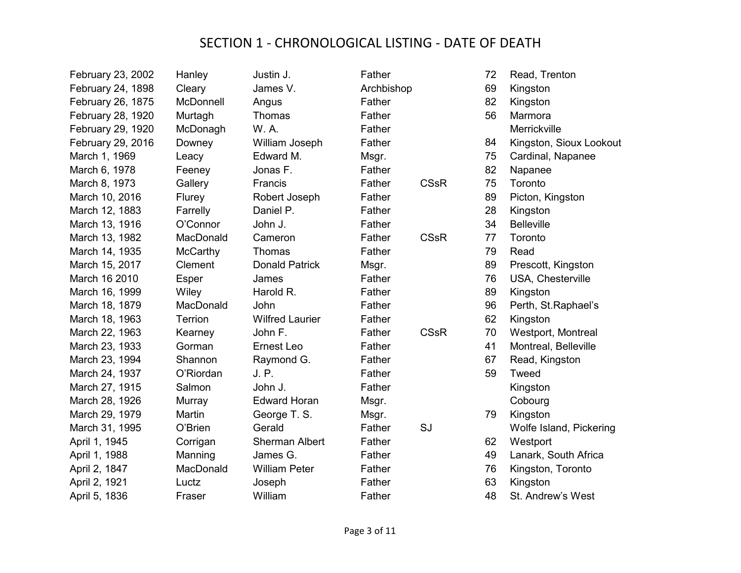| February 23, 2002 | Hanley    | Justin J.              | Father     |             | 72 | Read, Trenton           |
|-------------------|-----------|------------------------|------------|-------------|----|-------------------------|
| February 24, 1898 | Cleary    | James V.               | Archbishop |             | 69 | Kingston                |
| February 26, 1875 | McDonnell | Angus                  | Father     |             | 82 | Kingston                |
| February 28, 1920 | Murtagh   | Thomas                 | Father     |             | 56 | Marmora                 |
| February 29, 1920 | McDonagh  | W. A.                  | Father     |             |    | Merrickville            |
| February 29, 2016 | Downey    | William Joseph         | Father     |             | 84 | Kingston, Sioux Lookout |
| March 1, 1969     | Leacy     | Edward M.              | Msgr.      |             | 75 | Cardinal, Napanee       |
| March 6, 1978     | Feeney    | Jonas F.               | Father     |             | 82 | Napanee                 |
| March 8, 1973     | Gallery   | Francis                | Father     | <b>CSsR</b> | 75 | Toronto                 |
| March 10, 2016    | Flurey    | Robert Joseph          | Father     |             | 89 | Picton, Kingston        |
| March 12, 1883    | Farrelly  | Daniel P.              | Father     |             | 28 | Kingston                |
| March 13, 1916    | O'Connor  | John J.                | Father     |             | 34 | <b>Belleville</b>       |
| March 13, 1982    | MacDonald | Cameron                | Father     | <b>CSsR</b> | 77 | Toronto                 |
| March 14, 1935    | McCarthy  | Thomas                 | Father     |             | 79 | Read                    |
| March 15, 2017    | Clement   | <b>Donald Patrick</b>  | Msgr.      |             | 89 | Prescott, Kingston      |
| March 16 2010     | Esper     | James                  | Father     |             | 76 | USA, Chesterville       |
| March 16, 1999    | Wiley     | Harold R.              | Father     |             | 89 | Kingston                |
| March 18, 1879    | MacDonald | John                   | Father     |             | 96 | Perth, St.Raphael's     |
| March 18, 1963    | Terrion   | <b>Wilfred Laurier</b> | Father     |             | 62 | Kingston                |
| March 22, 1963    | Kearney   | John F.                | Father     | <b>CSsR</b> | 70 | Westport, Montreal      |
| March 23, 1933    | Gorman    | Ernest Leo             | Father     |             | 41 | Montreal, Belleville    |
| March 23, 1994    | Shannon   | Raymond G.             | Father     |             | 67 | Read, Kingston          |
| March 24, 1937    | O'Riordan | J. P.                  | Father     |             | 59 | Tweed                   |
| March 27, 1915    | Salmon    | John J.                | Father     |             |    | Kingston                |
| March 28, 1926    | Murray    | <b>Edward Horan</b>    | Msgr.      |             |    | Cobourg                 |
| March 29, 1979    | Martin    | George T. S.           | Msgr.      |             | 79 | Kingston                |
| March 31, 1995    | O'Brien   | Gerald                 | Father     | SJ          |    | Wolfe Island, Pickering |
| April 1, 1945     | Corrigan  | <b>Sherman Albert</b>  | Father     |             | 62 | Westport                |
| April 1, 1988     | Manning   | James G.               | Father     |             | 49 | Lanark, South Africa    |
| April 2, 1847     | MacDonald | <b>William Peter</b>   | Father     |             | 76 | Kingston, Toronto       |
| April 2, 1921     | Luctz     | Joseph                 | Father     |             | 63 | Kingston                |
| April 5, 1836     | Fraser    | William                | Father     |             | 48 | St. Andrew's West       |
|                   |           |                        |            |             |    |                         |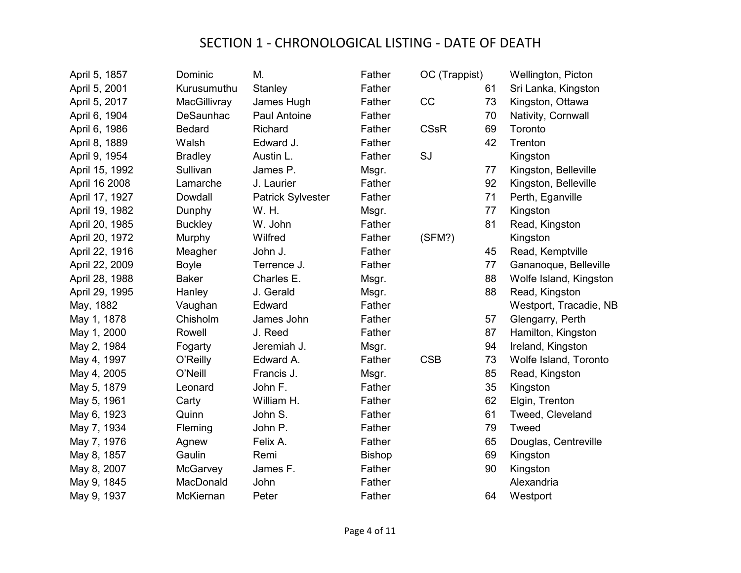| April 5, 1857  | Dominic          | М.                       | Father        | OC (Trappist) |    | Wellington, Picton     |
|----------------|------------------|--------------------------|---------------|---------------|----|------------------------|
| April 5, 2001  | Kurusumuthu      | Stanley                  | Father        |               | 61 | Sri Lanka, Kingston    |
| April 5, 2017  | MacGillivray     | James Hugh               | Father        | CC            | 73 | Kingston, Ottawa       |
| April 6, 1904  | <b>DeSaunhac</b> | Paul Antoine             | Father        |               | 70 | Nativity, Cornwall     |
| April 6, 1986  | <b>Bedard</b>    | Richard                  | Father        | <b>CSsR</b>   | 69 | Toronto                |
| April 8, 1889  | Walsh            | Edward J.                | Father        |               | 42 | Trenton                |
| April 9, 1954  | <b>Bradley</b>   | Austin L.                | Father        | SJ            |    | Kingston               |
| April 15, 1992 | Sullivan         | James P.                 | Msgr.         |               | 77 | Kingston, Belleville   |
| April 16 2008  | Lamarche         | J. Laurier               | Father        |               | 92 | Kingston, Belleville   |
| April 17, 1927 | Dowdall          | <b>Patrick Sylvester</b> | Father        |               | 71 | Perth, Eganville       |
| April 19, 1982 | Dunphy           | W. H.                    | Msgr.         |               | 77 | Kingston               |
| April 20, 1985 | <b>Buckley</b>   | W. John                  | Father        |               | 81 | Read, Kingston         |
| April 20, 1972 | Murphy           | Wilfred                  | Father        | (SFM?)        |    | Kingston               |
| April 22, 1916 | Meagher          | John J.                  | Father        |               | 45 | Read, Kemptville       |
| April 22, 2009 | <b>Boyle</b>     | Terrence J.              | Father        |               | 77 | Gananoque, Belleville  |
| April 28, 1988 | <b>Baker</b>     | Charles E.               | Msgr.         |               | 88 | Wolfe Island, Kingston |
| April 29, 1995 | Hanley           | J. Gerald                | Msgr.         |               | 88 | Read, Kingston         |
| May, 1882      | Vaughan          | Edward                   | Father        |               |    | Westport, Tracadie, NB |
| May 1, 1878    | Chisholm         | James John               | Father        |               | 57 | Glengarry, Perth       |
| May 1, 2000    | Rowell           | J. Reed                  | Father        |               | 87 | Hamilton, Kingston     |
| May 2, 1984    | Fogarty          | Jeremiah J.              | Msgr.         |               | 94 | Ireland, Kingston      |
| May 4, 1997    | O'Reilly         | Edward A.                | Father        | <b>CSB</b>    | 73 | Wolfe Island, Toronto  |
| May 4, 2005    | O'Neill          | Francis J.               | Msgr.         |               | 85 | Read, Kingston         |
| May 5, 1879    | Leonard          | John F.                  | Father        |               | 35 | Kingston               |
| May 5, 1961    | Carty            | William H.               | Father        |               | 62 | Elgin, Trenton         |
| May 6, 1923    | Quinn            | John S.                  | Father        |               | 61 | Tweed, Cleveland       |
| May 7, 1934    | Fleming          | John P.                  | Father        |               | 79 | Tweed                  |
| May 7, 1976    | Agnew            | Felix A.                 | Father        |               | 65 | Douglas, Centreville   |
| May 8, 1857    | Gaulin           | Remi                     | <b>Bishop</b> |               | 69 | Kingston               |
| May 8, 2007    | McGarvey         | James F.                 | Father        |               | 90 | Kingston               |
| May 9, 1845    | MacDonald        | John                     | Father        |               |    | Alexandria             |
| May 9, 1937    | McKiernan        | Peter                    | Father        |               | 64 | Westport               |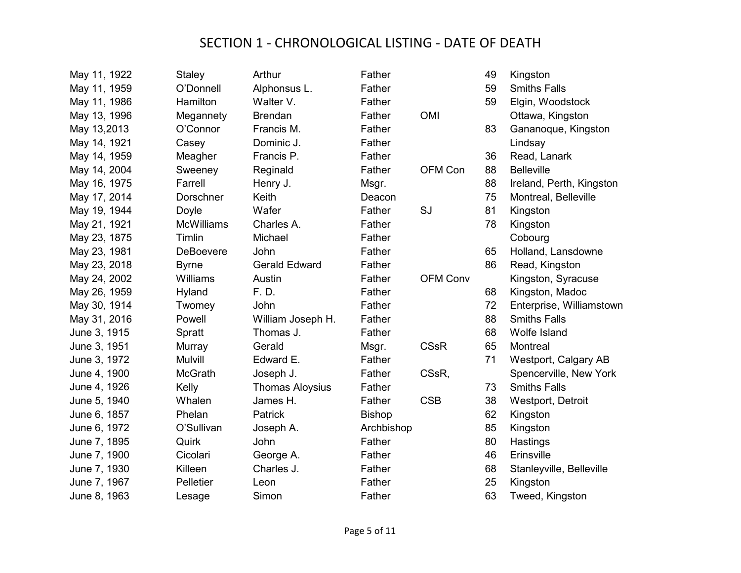| May 11, 1922 | Staley            | Arthur                 | Father        |                 | 49 | Kingston                 |
|--------------|-------------------|------------------------|---------------|-----------------|----|--------------------------|
| May 11, 1959 | O'Donnell         | Alphonsus L.           | Father        |                 | 59 | <b>Smiths Falls</b>      |
| May 11, 1986 | Hamilton          | Walter V.              | Father        |                 | 59 | Elgin, Woodstock         |
| May 13, 1996 | Megannety         | <b>Brendan</b>         | Father        | <b>OMI</b>      |    | Ottawa, Kingston         |
| May 13,2013  | O'Connor          | Francis M.             | Father        |                 | 83 | Gananoque, Kingston      |
| May 14, 1921 | Casey             | Dominic J.             | Father        |                 |    | Lindsay                  |
| May 14, 1959 | Meagher           | Francis P.             | Father        |                 | 36 | Read, Lanark             |
| May 14, 2004 | Sweeney           | Reginald               | Father        | OFM Con         | 88 | <b>Belleville</b>        |
| May 16, 1975 | Farrell           | Henry J.               | Msgr.         |                 | 88 | Ireland, Perth, Kingston |
| May 17, 2014 | Dorschner         | <b>Keith</b>           | Deacon        |                 | 75 | Montreal, Belleville     |
| May 19, 1944 | Doyle             | Wafer                  | Father        | SJ              | 81 | Kingston                 |
| May 21, 1921 | <b>McWilliams</b> | Charles A.             | Father        |                 | 78 | Kingston                 |
| May 23, 1875 | Timlin            | Michael                | Father        |                 |    | Cobourg                  |
| May 23, 1981 | DeBoevere         | John                   | Father        |                 | 65 | Holland, Lansdowne       |
| May 23, 2018 | <b>Byrne</b>      | <b>Gerald Edward</b>   | Father        |                 | 86 | Read, Kingston           |
| May 24, 2002 | Williams          | Austin                 | Father        | <b>OFM Conv</b> |    | Kingston, Syracuse       |
| May 26, 1959 | Hyland            | F. D.                  | Father        |                 | 68 | Kingston, Madoc          |
| May 30, 1914 | Twomey            | John                   | Father        |                 | 72 | Enterprise, Williamstown |
| May 31, 2016 | Powell            | William Joseph H.      | Father        |                 | 88 | <b>Smiths Falls</b>      |
| June 3, 1915 | Spratt            | Thomas J.              | Father        |                 | 68 | Wolfe Island             |
| June 3, 1951 | Murray            | Gerald                 | Msgr.         | <b>CSsR</b>     | 65 | Montreal                 |
| June 3, 1972 | Mulvill           | Edward E.              | Father        |                 | 71 | Westport, Calgary AB     |
| June 4, 1900 | <b>McGrath</b>    | Joseph J.              | Father        | CSsR,           |    | Spencerville, New York   |
| June 4, 1926 | Kelly             | <b>Thomas Aloysius</b> | Father        |                 | 73 | <b>Smiths Falls</b>      |
| June 5, 1940 | Whalen            | James H.               | Father        | <b>CSB</b>      | 38 | Westport, Detroit        |
| June 6, 1857 | Phelan            | Patrick                | <b>Bishop</b> |                 | 62 | Kingston                 |
| June 6, 1972 | O'Sullivan        | Joseph A.              | Archbishop    |                 | 85 | Kingston                 |
| June 7, 1895 | Quirk             | John                   | Father        |                 | 80 | Hastings                 |
| June 7, 1900 | Cicolari          | George A.              | Father        |                 | 46 | Erinsville               |
| June 7, 1930 | Killeen           | Charles J.             | Father        |                 | 68 | Stanleyville, Belleville |
| June 7, 1967 | Pelletier         | Leon                   | Father        |                 | 25 | Kingston                 |
| June 8, 1963 | Lesage            | Simon                  | Father        |                 | 63 | Tweed, Kingston          |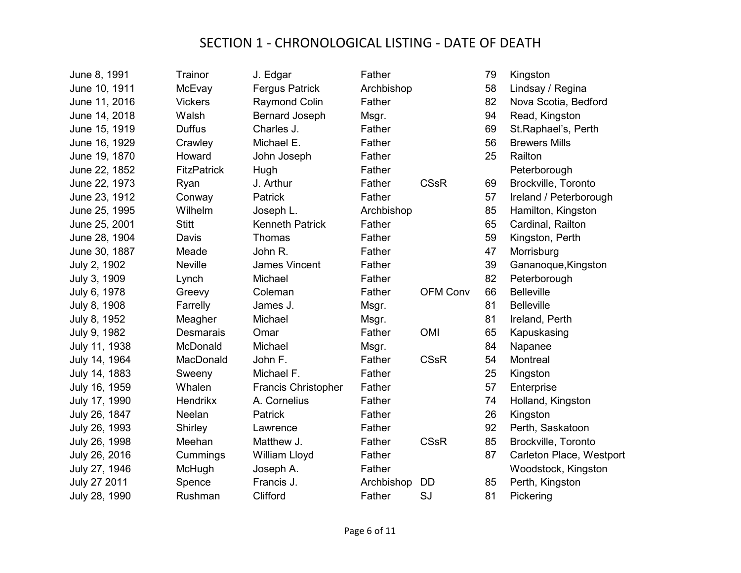| June 8, 1991  | Trainor            | J. Edgar                   | Father     |                 | 79 | Kingston                 |
|---------------|--------------------|----------------------------|------------|-----------------|----|--------------------------|
| June 10, 1911 | McEvay             | <b>Fergus Patrick</b>      | Archbishop |                 | 58 | Lindsay / Regina         |
| June 11, 2016 | <b>Vickers</b>     | Raymond Colin              | Father     |                 | 82 | Nova Scotia, Bedford     |
| June 14, 2018 | Walsh              | <b>Bernard Joseph</b>      | Msgr.      |                 | 94 | Read, Kingston           |
| June 15, 1919 | <b>Duffus</b>      | Charles J.                 | Father     |                 | 69 | St.Raphael's, Perth      |
| June 16, 1929 | Crawley            | Michael E.                 | Father     |                 | 56 | <b>Brewers Mills</b>     |
| June 19, 1870 | Howard             | John Joseph                | Father     |                 | 25 | Railton                  |
| June 22, 1852 | <b>FitzPatrick</b> | Hugh                       | Father     |                 |    | Peterborough             |
| June 22, 1973 | Ryan               | J. Arthur                  | Father     | <b>CSsR</b>     | 69 | Brockville, Toronto      |
| June 23, 1912 | Conway             | Patrick                    | Father     |                 | 57 | Ireland / Peterborough   |
| June 25, 1995 | Wilhelm            | Joseph L.                  | Archbishop |                 | 85 | Hamilton, Kingston       |
| June 25, 2001 | <b>Stitt</b>       | <b>Kenneth Patrick</b>     | Father     |                 | 65 | Cardinal, Railton        |
| June 28, 1904 | Davis              | <b>Thomas</b>              | Father     |                 | 59 | Kingston, Perth          |
| June 30, 1887 | Meade              | John R.                    | Father     |                 | 47 | Morrisburg               |
| July 2, 1902  | <b>Neville</b>     | James Vincent              | Father     |                 | 39 | Gananoque, Kingston      |
| July 3, 1909  | Lynch              | Michael                    | Father     |                 | 82 | Peterborough             |
| July 6, 1978  | Greevy             | Coleman                    | Father     | <b>OFM Conv</b> | 66 | <b>Belleville</b>        |
| July 8, 1908  | Farrelly           | James J.                   | Msgr.      |                 | 81 | <b>Belleville</b>        |
| July 8, 1952  | Meagher            | Michael                    | Msgr.      |                 | 81 | Ireland, Perth           |
| July 9, 1982  | <b>Desmarais</b>   | Omar                       | Father     | <b>OMI</b>      | 65 | Kapuskasing              |
| July 11, 1938 | McDonald           | Michael                    | Msgr.      |                 | 84 | Napanee                  |
| July 14, 1964 | MacDonald          | John F.                    | Father     | <b>CSsR</b>     | 54 | Montreal                 |
| July 14, 1883 | Sweeny             | Michael F.                 | Father     |                 | 25 | Kingston                 |
| July 16, 1959 | Whalen             | <b>Francis Christopher</b> | Father     |                 | 57 | Enterprise               |
| July 17, 1990 | <b>Hendrikx</b>    | A. Cornelius               | Father     |                 | 74 | Holland, Kingston        |
| July 26, 1847 | Neelan             | Patrick                    | Father     |                 | 26 | Kingston                 |
| July 26, 1993 | Shirley            | Lawrence                   | Father     |                 | 92 | Perth, Saskatoon         |
| July 26, 1998 | Meehan             | Matthew J.                 | Father     | <b>CSsR</b>     | 85 | Brockville, Toronto      |
| July 26, 2016 | Cummings           | William Lloyd              | Father     |                 | 87 | Carleton Place, Westport |
| July 27, 1946 | McHugh             | Joseph A.                  | Father     |                 |    | Woodstock, Kingston      |
| July 27 2011  | Spence             | Francis J.                 | Archbishop | DD              | 85 | Perth, Kingston          |
| July 28, 1990 | Rushman            | Clifford                   | Father     | SJ              | 81 | Pickering                |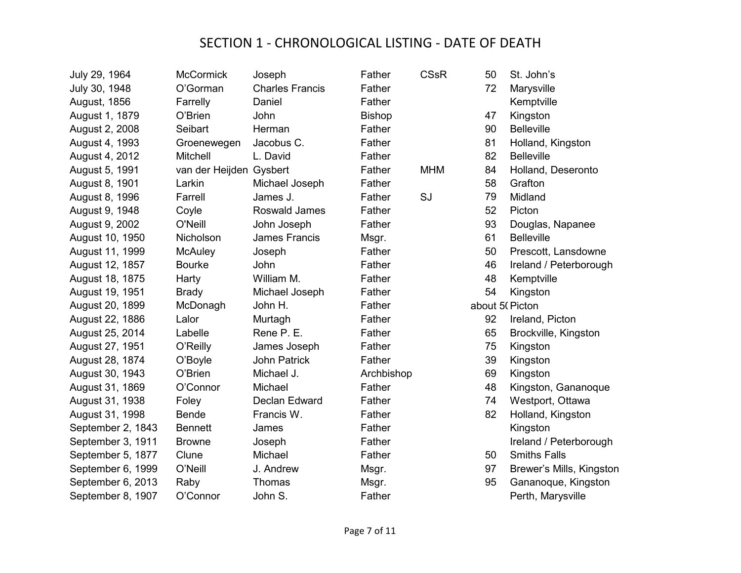| July 29, 1964       | <b>McCormick</b>        | Joseph                 | Father        | <b>CSsR</b> | 50             | St. John's               |
|---------------------|-------------------------|------------------------|---------------|-------------|----------------|--------------------------|
| July 30, 1948       | O'Gorman                | <b>Charles Francis</b> | Father        |             | 72             | Marysville               |
| <b>August, 1856</b> | Farrelly                | Daniel                 | Father        |             |                | Kemptville               |
| August 1, 1879      | O'Brien                 | John                   | <b>Bishop</b> |             | 47             | Kingston                 |
| August 2, 2008      | Seibart                 | Herman                 | Father        |             | 90             | <b>Belleville</b>        |
| August 4, 1993      | Groenewegen             | Jacobus C.             | Father        |             | 81             | Holland, Kingston        |
| August 4, 2012      | Mitchell                | L. David               | Father        |             | 82             | <b>Belleville</b>        |
| August 5, 1991      | van der Heijden Gysbert |                        | Father        | <b>MHM</b>  | 84             | Holland, Deseronto       |
| August 8, 1901      | Larkin                  | Michael Joseph         | Father        |             | 58             | Grafton                  |
| August 8, 1996      | Farrell                 | James J.               | Father        | SJ          | 79             | Midland                  |
| August 9, 1948      | Coyle                   | Roswald James          | Father        |             | 52             | Picton                   |
| August 9, 2002      | O'Neill                 | John Joseph            | Father        |             | 93             | Douglas, Napanee         |
| August 10, 1950     | Nicholson               | <b>James Francis</b>   | Msgr.         |             | 61             | <b>Belleville</b>        |
| August 11, 1999     | <b>McAuley</b>          | Joseph                 | Father        |             | 50             | Prescott, Lansdowne      |
| August 12, 1857     | <b>Bourke</b>           | John                   | Father        |             | 46             | Ireland / Peterborough   |
| August 18, 1875     | Harty                   | William M.             | Father        |             | 48             | Kemptville               |
| August 19, 1951     | <b>Brady</b>            | Michael Joseph         | Father        |             | 54             | Kingston                 |
| August 20, 1899     | McDonagh                | John H.                | Father        |             | about 5(Picton |                          |
| August 22, 1886     | Lalor                   | Murtagh                | Father        |             | 92             | Ireland, Picton          |
| August 25, 2014     | Labelle                 | Rene P. E.             | Father        |             | 65             | Brockville, Kingston     |
| August 27, 1951     | O'Reilly                | James Joseph           | Father        |             | 75             | Kingston                 |
| August 28, 1874     | O'Boyle                 | <b>John Patrick</b>    | Father        |             | 39             | Kingston                 |
| August 30, 1943     | O'Brien                 | Michael J.             | Archbishop    |             | 69             | Kingston                 |
| August 31, 1869     | O'Connor                | Michael                | Father        |             | 48             | Kingston, Gananoque      |
| August 31, 1938     | Foley                   | Declan Edward          | Father        |             | 74             | Westport, Ottawa         |
| August 31, 1998     | Bende                   | Francis W.             | Father        |             | 82             | Holland, Kingston        |
| September 2, 1843   | <b>Bennett</b>          | James                  | Father        |             |                | Kingston                 |
| September 3, 1911   | <b>Browne</b>           | Joseph                 | Father        |             |                | Ireland / Peterborough   |
| September 5, 1877   | Clune                   | Michael                | Father        |             | 50             | <b>Smiths Falls</b>      |
| September 6, 1999   | O'Neill                 | J. Andrew              | Msgr.         |             | 97             | Brewer's Mills, Kingston |
| September 6, 2013   | Raby                    | Thomas                 | Msgr.         |             | 95             | Gananoque, Kingston      |
| September 8, 1907   | O'Connor                | John S.                | Father        |             |                | Perth, Marysville        |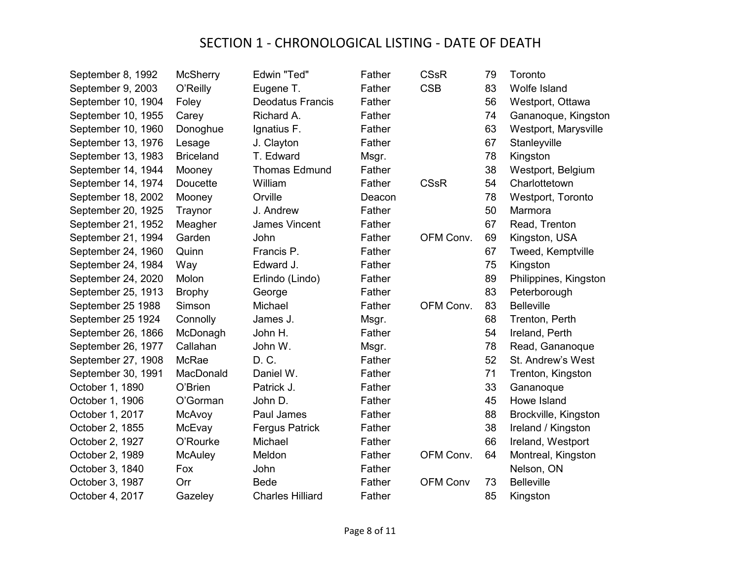| September 8, 1992  | <b>McSherry</b>  | Edwin "Ted"             | Father | <b>CSsR</b>     | 79 | Toronto               |
|--------------------|------------------|-------------------------|--------|-----------------|----|-----------------------|
| September 9, 2003  | O'Reilly         | Eugene T.               | Father | <b>CSB</b>      | 83 | Wolfe Island          |
| September 10, 1904 | Foley            | <b>Deodatus Francis</b> | Father |                 | 56 | Westport, Ottawa      |
| September 10, 1955 | Carey            | Richard A.              | Father |                 | 74 | Gananoque, Kingston   |
| September 10, 1960 | Donoghue         | Ignatius F.             | Father |                 | 63 | Westport, Marysville  |
| September 13, 1976 | Lesage           | J. Clayton              | Father |                 | 67 | Stanleyville          |
| September 13, 1983 | <b>Briceland</b> | T. Edward               | Msgr.  |                 | 78 | Kingston              |
| September 14, 1944 | Mooney           | <b>Thomas Edmund</b>    | Father |                 | 38 | Westport, Belgium     |
| September 14, 1974 | Doucette         | William                 | Father | <b>CSsR</b>     | 54 | Charlottetown         |
| September 18, 2002 | Mooney           | Orville                 | Deacon |                 | 78 | Westport, Toronto     |
| September 20, 1925 | Traynor          | J. Andrew               | Father |                 | 50 | Marmora               |
| September 21, 1952 | Meagher          | James Vincent           | Father |                 | 67 | Read, Trenton         |
| September 21, 1994 | Garden           | John                    | Father | OFM Conv.       | 69 | Kingston, USA         |
| September 24, 1960 | Quinn            | Francis P.              | Father |                 | 67 | Tweed, Kemptville     |
| September 24, 1984 | Way              | Edward J.               | Father |                 | 75 | Kingston              |
| September 24, 2020 | Molon            | Erlindo (Lindo)         | Father |                 | 89 | Philippines, Kingston |
| September 25, 1913 | <b>Brophy</b>    | George                  | Father |                 | 83 | Peterborough          |
| September 25 1988  | Simson           | Michael                 | Father | OFM Conv.       | 83 | <b>Belleville</b>     |
| September 25 1924  | Connolly         | James J.                | Msgr.  |                 | 68 | Trenton, Perth        |
| September 26, 1866 | McDonagh         | John H.                 | Father |                 | 54 | Ireland, Perth        |
| September 26, 1977 | Callahan         | John W.                 | Msgr.  |                 | 78 | Read, Gananoque       |
| September 27, 1908 | <b>McRae</b>     | D. C.                   | Father |                 | 52 | St. Andrew's West     |
| September 30, 1991 | MacDonald        | Daniel W.               | Father |                 | 71 | Trenton, Kingston     |
| October 1, 1890    | O'Brien          | Patrick J.              | Father |                 | 33 | Gananoque             |
| October 1, 1906    | O'Gorman         | John D.                 | Father |                 | 45 | Howe Island           |
| October 1, 2017    | McAvoy           | Paul James              | Father |                 | 88 | Brockville, Kingston  |
| October 2, 1855    | McEvay           | <b>Fergus Patrick</b>   | Father |                 | 38 | Ireland / Kingston    |
| October 2, 1927    | O'Rourke         | Michael                 | Father |                 | 66 | Ireland, Westport     |
| October 2, 1989    | <b>McAuley</b>   | Meldon                  | Father | OFM Conv.       | 64 | Montreal, Kingston    |
| October 3, 1840    | Fox              | John                    | Father |                 |    | Nelson, ON            |
| October 3, 1987    | Orr              | <b>Bede</b>             | Father | <b>OFM Conv</b> | 73 | <b>Belleville</b>     |
| October 4, 2017    | Gazeley          | <b>Charles Hilliard</b> | Father |                 | 85 | Kingston              |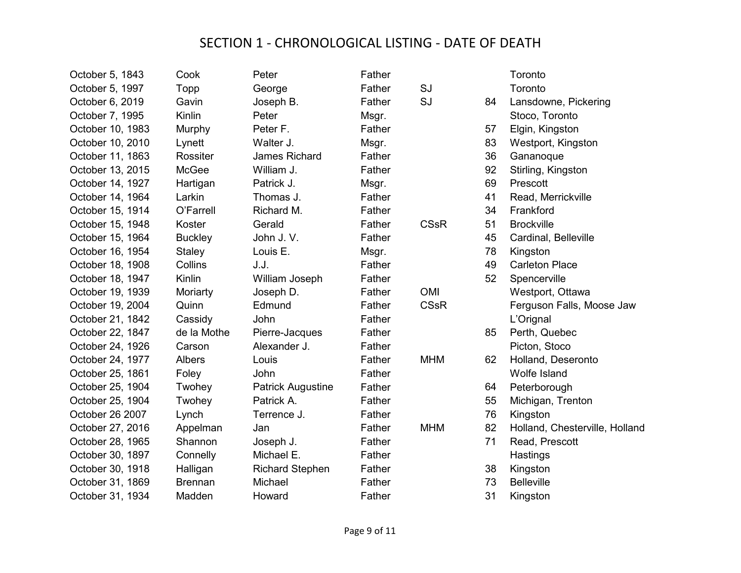| October 5, 1843  | Cook           | Peter                    | Father |             |    | Toronto                        |
|------------------|----------------|--------------------------|--------|-------------|----|--------------------------------|
| October 5, 1997  | Topp           | George                   | Father | SJ          |    | Toronto                        |
| October 6, 2019  | Gavin          | Joseph B.                | Father | SJ          | 84 | Lansdowne, Pickering           |
| October 7, 1995  | Kinlin         | Peter                    | Msgr.  |             |    | Stoco, Toronto                 |
| October 10, 1983 | Murphy         | Peter F.                 | Father |             | 57 | Elgin, Kingston                |
| October 10, 2010 | Lynett         | Walter J.                | Msgr.  |             | 83 | Westport, Kingston             |
| October 11, 1863 | Rossiter       | <b>James Richard</b>     | Father |             | 36 | Gananoque                      |
| October 13, 2015 | <b>McGee</b>   | William J.               | Father |             | 92 | Stirling, Kingston             |
| October 14, 1927 | Hartigan       | Patrick J.               | Msgr.  |             | 69 | Prescott                       |
| October 14, 1964 | Larkin         | Thomas J.                | Father |             | 41 | Read, Merrickville             |
| October 15, 1914 | O'Farrell      | Richard M.               | Father |             | 34 | Frankford                      |
| October 15, 1948 | Koster         | Gerald                   | Father | <b>CSsR</b> | 51 | <b>Brockville</b>              |
| October 15, 1964 | <b>Buckley</b> | John J.V.                | Father |             | 45 | Cardinal, Belleville           |
| October 16, 1954 | <b>Staley</b>  | Louis E.                 | Msgr.  |             | 78 | Kingston                       |
| October 18, 1908 | Collins        | J.J.                     | Father |             | 49 | <b>Carleton Place</b>          |
| October 18, 1947 | Kinlin         | William Joseph           | Father |             | 52 | Spencerville                   |
| October 19, 1939 | Moriarty       | Joseph D.                | Father | <b>OMI</b>  |    | Westport, Ottawa               |
| October 19, 2004 | Quinn          | Edmund                   | Father | <b>CSsR</b> |    | Ferguson Falls, Moose Jaw      |
| October 21, 1842 | Cassidy        | John                     | Father |             |    | L'Orignal                      |
| October 22, 1847 | de la Mothe    | Pierre-Jacques           | Father |             | 85 | Perth, Quebec                  |
| October 24, 1926 | Carson         | Alexander J.             | Father |             |    | Picton, Stoco                  |
| October 24, 1977 | <b>Albers</b>  | Louis                    | Father | <b>MHM</b>  | 62 | Holland, Deseronto             |
| October 25, 1861 | Foley          | John                     | Father |             |    | <b>Wolfe Island</b>            |
| October 25, 1904 | Twohey         | <b>Patrick Augustine</b> | Father |             | 64 | Peterborough                   |
| October 25, 1904 | Twohey         | Patrick A.               | Father |             | 55 | Michigan, Trenton              |
| October 26 2007  | Lynch          | Terrence J.              | Father |             | 76 | Kingston                       |
| October 27, 2016 | Appelman       | Jan                      | Father | <b>MHM</b>  | 82 | Holland, Chesterville, Holland |
| October 28, 1965 | Shannon        | Joseph J.                | Father |             | 71 | Read, Prescott                 |
| October 30, 1897 | Connelly       | Michael E.               | Father |             |    | Hastings                       |
| October 30, 1918 | Halligan       | <b>Richard Stephen</b>   | Father |             | 38 | Kingston                       |
| October 31, 1869 | <b>Brennan</b> | Michael                  | Father |             | 73 | <b>Belleville</b>              |
| October 31, 1934 | Madden         | Howard                   | Father |             | 31 | Kingston                       |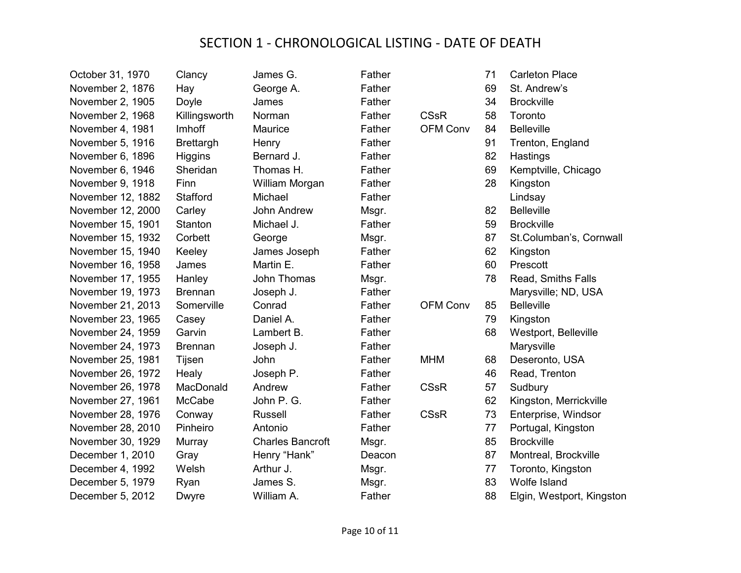| October 31, 1970  | Clancy           | James G.                | Father |                 | 71 | <b>Carleton Place</b>     |
|-------------------|------------------|-------------------------|--------|-----------------|----|---------------------------|
| November 2, 1876  | Hay              | George A.               | Father |                 | 69 | St. Andrew's              |
| November 2, 1905  | Doyle            | James                   | Father |                 | 34 | <b>Brockville</b>         |
| November 2, 1968  | Killingsworth    | Norman                  | Father | <b>CSsR</b>     | 58 | Toronto                   |
| November 4, 1981  | Imhoff           | Maurice                 | Father | <b>OFM Conv</b> | 84 | <b>Belleville</b>         |
| November 5, 1916  | <b>Brettargh</b> | Henry                   | Father |                 | 91 | Trenton, England          |
| November 6, 1896  | <b>Higgins</b>   | Bernard J.              | Father |                 | 82 | Hastings                  |
| November 6, 1946  | Sheridan         | Thomas H.               | Father |                 | 69 | Kemptville, Chicago       |
| November 9, 1918  | Finn             | William Morgan          | Father |                 | 28 | Kingston                  |
| November 12, 1882 | Stafford         | Michael                 | Father |                 |    | Lindsay                   |
| November 12, 2000 | Carley           | John Andrew             | Msgr.  |                 | 82 | <b>Belleville</b>         |
| November 15, 1901 | Stanton          | Michael J.              | Father |                 | 59 | <b>Brockville</b>         |
| November 15, 1932 | Corbett          | George                  | Msgr.  |                 | 87 | St.Columban's, Cornwall   |
| November 15, 1940 | Keeley           | James Joseph            | Father |                 | 62 | Kingston                  |
| November 16, 1958 | James            | Martin E.               | Father |                 | 60 | Prescott                  |
| November 17, 1955 | Hanley           | John Thomas             | Msgr.  |                 | 78 | Read, Smiths Falls        |
| November 19, 1973 | <b>Brennan</b>   | Joseph J.               | Father |                 |    | Marysville; ND, USA       |
| November 21, 2013 | Somerville       | Conrad                  | Father | <b>OFM Conv</b> | 85 | <b>Belleville</b>         |
| November 23, 1965 | Casey            | Daniel A.               | Father |                 | 79 | Kingston                  |
| November 24, 1959 | Garvin           | Lambert B.              | Father |                 | 68 | Westport, Belleville      |
| November 24, 1973 | <b>Brennan</b>   | Joseph J.               | Father |                 |    | Marysville                |
| November 25, 1981 | Tijsen           | John                    | Father | <b>MHM</b>      | 68 | Deseronto, USA            |
| November 26, 1972 | Healy            | Joseph P.               | Father |                 | 46 | Read, Trenton             |
| November 26, 1978 | MacDonald        | Andrew                  | Father | <b>CSsR</b>     | 57 | Sudbury                   |
| November 27, 1961 | McCabe           | John P. G.              | Father |                 | 62 | Kingston, Merrickville    |
| November 28, 1976 | Conway           | <b>Russell</b>          | Father | <b>CSsR</b>     | 73 | Enterprise, Windsor       |
| November 28, 2010 | Pinheiro         | Antonio                 | Father |                 | 77 | Portugal, Kingston        |
| November 30, 1929 | Murray           | <b>Charles Bancroft</b> | Msgr.  |                 | 85 | <b>Brockville</b>         |
| December 1, 2010  | Gray             | Henry "Hank"            | Deacon |                 | 87 | Montreal, Brockville      |
| December 4, 1992  | Welsh            | Arthur J.               | Msgr.  |                 | 77 | Toronto, Kingston         |
| December 5, 1979  | Ryan             | James S.                | Msgr.  |                 | 83 | Wolfe Island              |
| December 5, 2012  | <b>Dwyre</b>     | William A.              | Father |                 | 88 | Elgin, Westport, Kingston |